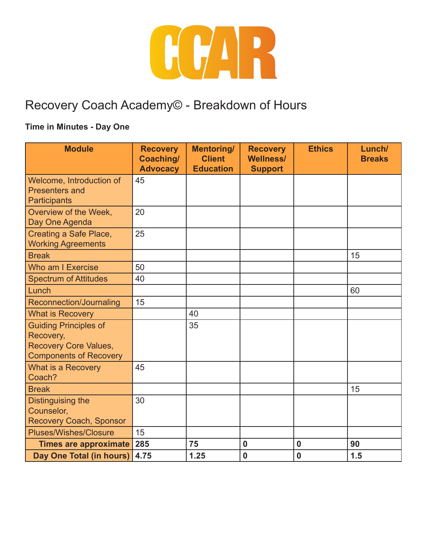

### **Time in Minutes - Day One**

| <b>Module</b>                                       | <b>Recovery</b><br>Coaching/<br><b>Advocacy</b> | <b>Mentoring/</b><br><b>Client</b><br><b>Education</b> | <b>Recovery</b><br><b>Wellness/</b> | <b>Ethics</b> | Lunch/<br><b>Breaks</b> |
|-----------------------------------------------------|-------------------------------------------------|--------------------------------------------------------|-------------------------------------|---------------|-------------------------|
| Welcome, Introduction of                            | 45                                              |                                                        | <b>Support</b>                      |               |                         |
| <b>Presenters and</b><br><b>Participants</b>        |                                                 |                                                        |                                     |               |                         |
| Overview of the Week,<br>Day One Agenda             | 20                                              |                                                        |                                     |               |                         |
| Creating a Safe Place,<br><b>Working Agreements</b> | 25                                              |                                                        |                                     |               |                         |
| <b>Break</b>                                        |                                                 |                                                        |                                     |               | 15                      |
| Who am I Exercise                                   | 50                                              |                                                        |                                     |               |                         |
| <b>Spectrum of Attitudes</b>                        | 40                                              |                                                        |                                     |               |                         |
| Lunch                                               |                                                 |                                                        |                                     |               | 60                      |
| Reconnection/Journaling                             | 15                                              |                                                        |                                     |               |                         |
| <b>What is Recovery</b>                             |                                                 | 40                                                     |                                     |               |                         |
| <b>Guiding Principles of</b>                        |                                                 | 35                                                     |                                     |               |                         |
| Recovery,                                           |                                                 |                                                        |                                     |               |                         |
| <b>Recovery Core Values,</b>                        |                                                 |                                                        |                                     |               |                         |
| <b>Components of Recovery</b>                       |                                                 |                                                        |                                     |               |                         |
| <b>What is a Recovery</b><br>Coach?                 | 45                                              |                                                        |                                     |               |                         |
| <b>Break</b>                                        |                                                 |                                                        |                                     |               | 15                      |
| Distinguising the                                   | 30                                              |                                                        |                                     |               |                         |
| Counselor,                                          |                                                 |                                                        |                                     |               |                         |
| Recovery Coach, Sponsor                             |                                                 |                                                        |                                     |               |                         |
| <b>Pluses/Wishes/Closure</b>                        | 15                                              |                                                        |                                     |               |                         |
| <b>Times are approximate</b>                        | 285                                             | 75                                                     | $\bf{0}$                            | 0             | 90                      |
| Day One Total (in hours)                            | 4.75                                            | 1.25                                                   | $\bf{0}$                            | $\bf{0}$      | 1.5                     |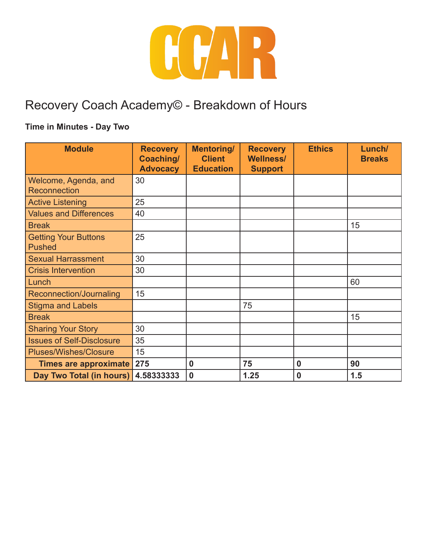

### **Time in Minutes - Day Two**

| <b>Module</b>                                | <b>Recovery</b>              | <b>Mentoring/</b>                 | <b>Recovery</b>                    | <b>Ethics</b> | Lunch/        |
|----------------------------------------------|------------------------------|-----------------------------------|------------------------------------|---------------|---------------|
|                                              | Coaching/<br><b>Advocacy</b> | <b>Client</b><br><b>Education</b> | <b>Wellness/</b><br><b>Support</b> |               | <b>Breaks</b> |
| Welcome, Agenda, and<br><b>Reconnection</b>  | 30                           |                                   |                                    |               |               |
| <b>Active Listening</b>                      | 25                           |                                   |                                    |               |               |
| <b>Values and Differences</b>                | 40                           |                                   |                                    |               |               |
| <b>Break</b>                                 |                              |                                   |                                    |               | 15            |
| <b>Getting Your Buttons</b><br><b>Pushed</b> | 25                           |                                   |                                    |               |               |
| <b>Sexual Harrassment</b>                    | 30                           |                                   |                                    |               |               |
| <b>Crisis Intervention</b>                   | 30                           |                                   |                                    |               |               |
| Lunch                                        |                              |                                   |                                    |               | 60            |
| Reconnection/Journaling                      | 15                           |                                   |                                    |               |               |
| <b>Stigma and Labels</b>                     |                              |                                   | 75                                 |               |               |
| <b>Break</b>                                 |                              |                                   |                                    |               | 15            |
| <b>Sharing Your Story</b>                    | 30                           |                                   |                                    |               |               |
| <b>Issues of Self-Disclosure</b>             | 35                           |                                   |                                    |               |               |
| <b>Pluses/Wishes/Closure</b>                 | 15                           |                                   |                                    |               |               |
| Times are approximate   275                  |                              | $\bf{0}$                          | 75                                 | $\bf{0}$      | 90            |
| Day Two Total (in hours)                     | 4.58333333                   | $\boldsymbol{0}$                  | 1.25                               | $\bf{0}$      | 1.5           |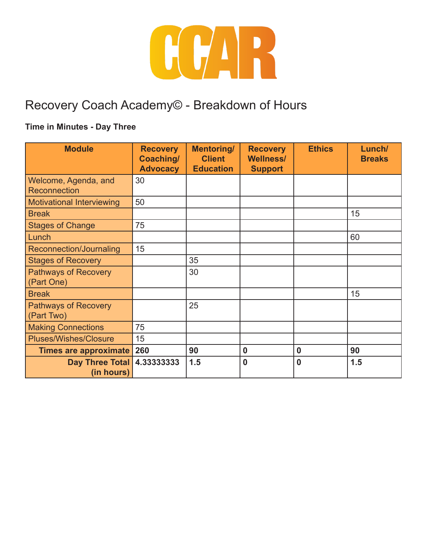

#### **Time in Minutes - Day Three**

| <b>Module</b>                                    | <b>Recovery</b><br>Coaching/ | <b>Mentoring/</b><br><b>Client</b> | <b>Recovery</b><br><b>Wellness/</b> | <b>Ethics</b> | Lunch/<br><b>Breaks</b> |
|--------------------------------------------------|------------------------------|------------------------------------|-------------------------------------|---------------|-------------------------|
|                                                  | <b>Advocacy</b>              | <b>Education</b>                   | <b>Support</b>                      |               |                         |
| Welcome, Agenda, and<br><b>Reconnection</b>      | 30                           |                                    |                                     |               |                         |
| <b>Motivational Interviewing</b>                 | 50                           |                                    |                                     |               |                         |
| <b>Break</b>                                     |                              |                                    |                                     |               | 15                      |
| <b>Stages of Change</b>                          | 75                           |                                    |                                     |               |                         |
| Lunch                                            |                              |                                    |                                     |               | 60                      |
| Reconnection/Journaling                          | 15                           |                                    |                                     |               |                         |
| <b>Stages of Recovery</b>                        |                              | 35                                 |                                     |               |                         |
| <b>Pathways of Recovery</b>                      |                              | 30                                 |                                     |               |                         |
| (Part One)                                       |                              |                                    |                                     |               |                         |
| <b>Break</b>                                     |                              |                                    |                                     |               | 15                      |
| <b>Pathways of Recovery</b><br>(Part Two)        |                              | 25                                 |                                     |               |                         |
| <b>Making Connections</b>                        | 75                           |                                    |                                     |               |                         |
| <b>Pluses/Wishes/Closure</b>                     | 15                           |                                    |                                     |               |                         |
| Times are approximate                            | 260                          | 90                                 | $\bf{0}$                            | $\mathbf 0$   | 90                      |
| <b>Day Three Total 4.333333333</b><br>(in hours) |                              | 1.5                                | $\bf{0}$                            | $\bf{0}$      | 1.5                     |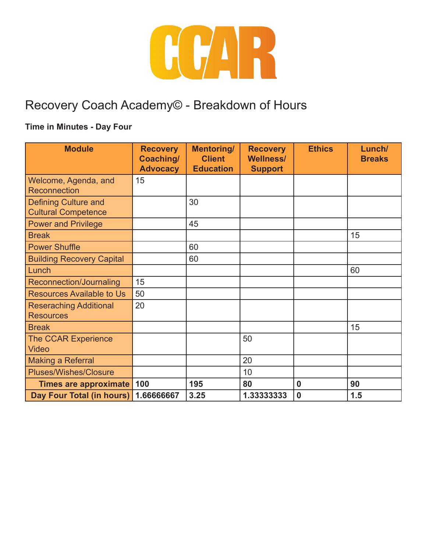

### **Time in Minutes - Day Four**

| <b>Module</b>                                             | <b>Recovery</b><br>Coaching/ | <b>Mentoring/</b><br><b>Client</b> | <b>Recovery</b><br><b>Wellness/</b> | <b>Ethics</b>    | Lunch/<br><b>Breaks</b> |
|-----------------------------------------------------------|------------------------------|------------------------------------|-------------------------------------|------------------|-------------------------|
|                                                           | <b>Advocacy</b>              | <b>Education</b>                   | <b>Support</b>                      |                  |                         |
| Welcome, Agenda, and                                      | 15                           |                                    |                                     |                  |                         |
| <b>Reconnection</b>                                       |                              |                                    |                                     |                  |                         |
| <b>Defining Culture and</b><br><b>Cultural Competence</b> |                              | 30                                 |                                     |                  |                         |
| <b>Power and Privilege</b>                                |                              | 45                                 |                                     |                  |                         |
| <b>Break</b>                                              |                              |                                    |                                     |                  | 15                      |
| <b>Power Shuffle</b>                                      |                              | 60                                 |                                     |                  |                         |
| <b>Building Recovery Capital</b>                          |                              | 60                                 |                                     |                  |                         |
| Lunch                                                     |                              |                                    |                                     |                  | 60                      |
| Reconnection/Journaling                                   | 15                           |                                    |                                     |                  |                         |
| <b>Resources Available to Us</b>                          | 50                           |                                    |                                     |                  |                         |
| <b>Reseraching Additional</b>                             | 20                           |                                    |                                     |                  |                         |
| <b>Resources</b>                                          |                              |                                    |                                     |                  |                         |
| <b>Break</b>                                              |                              |                                    |                                     |                  | 15                      |
| The CCAR Experience<br><b>Video</b>                       |                              |                                    | 50                                  |                  |                         |
| <b>Making a Referral</b>                                  |                              |                                    | 20                                  |                  |                         |
| <b>Pluses/Wishes/Closure</b>                              |                              |                                    | 10                                  |                  |                         |
| Times are approximate 100                                 |                              | 195                                | 80                                  | $\mathbf 0$      | 90                      |
| Day Four Total (in hours) 1.66666667                      |                              | 3.25                               | 1.33333333                          | $\boldsymbol{0}$ | 1.5                     |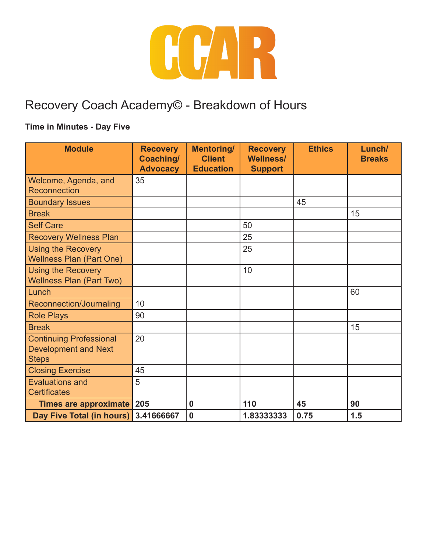

### **Time in Minutes - Day Five**

| <b>Module</b>                   | <b>Recovery</b><br>Coaching/ | <b>Mentoring/</b><br><b>Client</b> | <b>Recovery</b><br><b>Wellness/</b> | <b>Ethics</b> | Lunch/<br><b>Breaks</b> |
|---------------------------------|------------------------------|------------------------------------|-------------------------------------|---------------|-------------------------|
|                                 | <b>Advocacy</b>              | <b>Education</b>                   | <b>Support</b>                      |               |                         |
| Welcome, Agenda, and            | 35                           |                                    |                                     |               |                         |
| <b>Reconnection</b>             |                              |                                    |                                     |               |                         |
| <b>Boundary Issues</b>          |                              |                                    |                                     | 45            |                         |
| <b>Break</b>                    |                              |                                    |                                     |               | 15                      |
| <b>Self Care</b>                |                              |                                    | 50                                  |               |                         |
| <b>Recovery Wellness Plan</b>   |                              |                                    | 25                                  |               |                         |
| <b>Using the Recovery</b>       |                              |                                    | 25                                  |               |                         |
| <b>Wellness Plan (Part One)</b> |                              |                                    |                                     |               |                         |
| <b>Using the Recovery</b>       |                              |                                    | 10                                  |               |                         |
| <b>Wellness Plan (Part Two)</b> |                              |                                    |                                     |               |                         |
| Lunch                           |                              |                                    |                                     |               | 60                      |
| Reconnection/Journaling         | 10                           |                                    |                                     |               |                         |
| <b>Role Plays</b>               | 90                           |                                    |                                     |               |                         |
| <b>Break</b>                    |                              |                                    |                                     |               | 15                      |
| <b>Continuing Professional</b>  | 20                           |                                    |                                     |               |                         |
| <b>Development and Next</b>     |                              |                                    |                                     |               |                         |
| <b>Steps</b>                    |                              |                                    |                                     |               |                         |
| <b>Closing Exercise</b>         | 45                           |                                    |                                     |               |                         |
| <b>Evaluations and</b>          | 5                            |                                    |                                     |               |                         |
| <b>Certificates</b>             |                              |                                    |                                     |               |                         |
| Times are approximate           | 205                          | $\boldsymbol{0}$                   | 110                                 | 45            | 90                      |
| Day Five Total (in hours)       | 3.41666667                   | $\mathbf 0$                        | 1.83333333                          | 0.75          | 1.5                     |